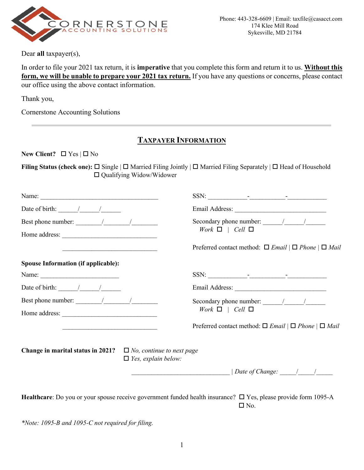

Dear **all** taxpayer(s),

In order to file your 2021 tax return, it is **imperative** that you complete this form and return it to us. **Without this form, we will be unable to prepare your 2021 tax return.** If you have any questions or concerns, please contact our office using the above contact information.

Thank you,

Cornerstone Accounting Solutions

## **TAXPAYER INFORMATION**

**New Client?**  $\Box$  Yes  $|\Box$  No

**Filing Status (check one):** □ Single | □ Married Filing Jointly | □ Married Filing Separately | □ Head of Household Qualifying Widow/Widower

| Date of birth: $\frac{1}{\sqrt{2\pi}}$                                                                                                                                                                                                                                                                                                                                                                                              |                                                                                        |
|-------------------------------------------------------------------------------------------------------------------------------------------------------------------------------------------------------------------------------------------------------------------------------------------------------------------------------------------------------------------------------------------------------------------------------------|----------------------------------------------------------------------------------------|
| Best phone number: $\frac{1}{\frac{1}{2} \cdot \frac{1}{2} \cdot \frac{1}{2} \cdot \frac{1}{2} \cdot \frac{1}{2} \cdot \frac{1}{2} \cdot \frac{1}{2} \cdot \frac{1}{2} \cdot \frac{1}{2} \cdot \frac{1}{2} \cdot \frac{1}{2} \cdot \frac{1}{2} \cdot \frac{1}{2} \cdot \frac{1}{2} \cdot \frac{1}{2} \cdot \frac{1}{2} \cdot \frac{1}{2} \cdot \frac{1}{2} \cdot \frac{1}{2} \cdot \frac{1}{2} \cdot \frac{1}{2} \cdot \frac{1}{2}$ | Work $\Box$   Cell $\Box$                                                              |
|                                                                                                                                                                                                                                                                                                                                                                                                                                     |                                                                                        |
|                                                                                                                                                                                                                                                                                                                                                                                                                                     | Preferred contact method: $\Box$ <i>Email</i> $ \Box$ <i>Phone</i> $ \Box$ <i>Mail</i> |
| <b>Spouse Information (if applicable):</b>                                                                                                                                                                                                                                                                                                                                                                                          |                                                                                        |
|                                                                                                                                                                                                                                                                                                                                                                                                                                     |                                                                                        |
| Date of birth: $\frac{1}{\sqrt{1-\frac{1}{2}}}\frac{1}{\sqrt{1-\frac{1}{2}}}}$                                                                                                                                                                                                                                                                                                                                                      |                                                                                        |
| Best phone number: $\frac{1}{\frac{1}{2} \cdot 1}$                                                                                                                                                                                                                                                                                                                                                                                  | Secondary phone number: $\frac{1}{\frac{1}{2} \cdot 1}$                                |
| Home address:                                                                                                                                                                                                                                                                                                                                                                                                                       | Work $\Box$   Cell $\Box$                                                              |
| the control of the control of the control of the control of the control of the control of                                                                                                                                                                                                                                                                                                                                           | Preferred contact method: $\Box$ <i>Email</i> $ \Box$ <i>Phone</i> $ \Box$ <i>Mail</i> |
| <b>Change in marital status in 2021?</b> $\Box$ <i>No, continue to next page</i>                                                                                                                                                                                                                                                                                                                                                    |                                                                                        |
| $\Box$ Yes, explain below:                                                                                                                                                                                                                                                                                                                                                                                                          |                                                                                        |
|                                                                                                                                                                                                                                                                                                                                                                                                                                     | $\frac{1}{2}$ Date of Change: $\frac{1}{2}$                                            |
|                                                                                                                                                                                                                                                                                                                                                                                                                                     |                                                                                        |
|                                                                                                                                                                                                                                                                                                                                                                                                                                     |                                                                                        |

Healthcare: Do you or your spouse receive government funded health insurance?  $\Box$  Yes, please provide form 1095-A  $\Box$  No.

*\*Note: 1095-B and 1095-C not required for filing.*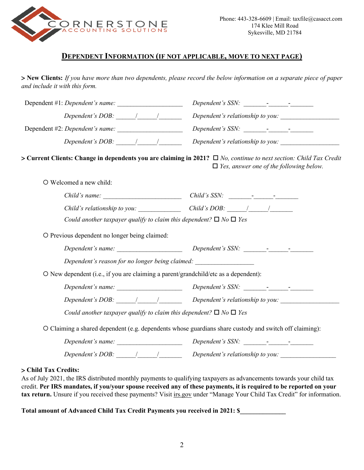

### **DEPENDENT INFORMATION (IF NOT APPLICABLE, MOVE TO NEXT PAGE)**

> **New Clients:** *If you have more than two dependents, please record the below information on a separate piece of paper and include it with this form.*

| Dependent #1: Dependent's name:                                                                                                                                                                                                                                                                                                                                                                                   |                                                                                                                                                                                                                                                                                                                                                                                                                   |
|-------------------------------------------------------------------------------------------------------------------------------------------------------------------------------------------------------------------------------------------------------------------------------------------------------------------------------------------------------------------------------------------------------------------|-------------------------------------------------------------------------------------------------------------------------------------------------------------------------------------------------------------------------------------------------------------------------------------------------------------------------------------------------------------------------------------------------------------------|
| Dependent's DOB: $\frac{1}{\sqrt{1-\frac{1}{2}}}\frac{1}{\sqrt{1-\frac{1}{2}}}\frac{1}{\sqrt{1-\frac{1}{2}}}\frac{1}{\sqrt{1-\frac{1}{2}}}\frac{1}{\sqrt{1-\frac{1}{2}}}\frac{1}{\sqrt{1-\frac{1}{2}}}\frac{1}{\sqrt{1-\frac{1}{2}}}\frac{1}{\sqrt{1-\frac{1}{2}}}\frac{1}{\sqrt{1-\frac{1}{2}}}\frac{1}{\sqrt{1-\frac{1}{2}}}\frac{1}{\sqrt{1-\frac{1}{2}}}\frac{1}{\sqrt{1-\frac{1}{2}}}\frac{1}{\sqrt{1-\frac$ |                                                                                                                                                                                                                                                                                                                                                                                                                   |
|                                                                                                                                                                                                                                                                                                                                                                                                                   |                                                                                                                                                                                                                                                                                                                                                                                                                   |
| Dependent's DOB: $\frac{1}{\sqrt{2\pi}}$                                                                                                                                                                                                                                                                                                                                                                          | Dependent's relationship to you:                                                                                                                                                                                                                                                                                                                                                                                  |
|                                                                                                                                                                                                                                                                                                                                                                                                                   | > Current Clients: Change in dependents you are claiming in 2021? $\Box$ No, continue to next section: Child Tax Credit<br>$\Box$ Yes, answer one of the following below.                                                                                                                                                                                                                                         |
| O Welcomed a new child:                                                                                                                                                                                                                                                                                                                                                                                           |                                                                                                                                                                                                                                                                                                                                                                                                                   |
|                                                                                                                                                                                                                                                                                                                                                                                                                   |                                                                                                                                                                                                                                                                                                                                                                                                                   |
|                                                                                                                                                                                                                                                                                                                                                                                                                   | Child's relationship to you: Child's DOB: I                                                                                                                                                                                                                                                                                                                                                                       |
| Could another taxpayer qualify to claim this dependent? $\Box$ No $\Box$ Yes                                                                                                                                                                                                                                                                                                                                      |                                                                                                                                                                                                                                                                                                                                                                                                                   |
| O Previous dependent no longer being claimed:                                                                                                                                                                                                                                                                                                                                                                     |                                                                                                                                                                                                                                                                                                                                                                                                                   |
|                                                                                                                                                                                                                                                                                                                                                                                                                   |                                                                                                                                                                                                                                                                                                                                                                                                                   |
| Dependent's reason for no longer being claimed:                                                                                                                                                                                                                                                                                                                                                                   |                                                                                                                                                                                                                                                                                                                                                                                                                   |
| O New dependent (i.e., if you are claiming a parent/grandchild/etc as a dependent):                                                                                                                                                                                                                                                                                                                               |                                                                                                                                                                                                                                                                                                                                                                                                                   |
|                                                                                                                                                                                                                                                                                                                                                                                                                   |                                                                                                                                                                                                                                                                                                                                                                                                                   |
|                                                                                                                                                                                                                                                                                                                                                                                                                   | Dependent's DOB: $\frac{1}{\sqrt{2\pi}}$ Dependent's relationship to you:                                                                                                                                                                                                                                                                                                                                         |
| Could another taxpayer qualify to claim this dependent? $\Box$ No $\Box$ Yes                                                                                                                                                                                                                                                                                                                                      |                                                                                                                                                                                                                                                                                                                                                                                                                   |
|                                                                                                                                                                                                                                                                                                                                                                                                                   | O Claiming a shared dependent (e.g. dependents whose guardians share custody and switch off claiming):                                                                                                                                                                                                                                                                                                            |
|                                                                                                                                                                                                                                                                                                                                                                                                                   | Dependent's SSN: $\frac{1}{\sqrt{1-\frac{1}{2}}}\frac{1}{\sqrt{1-\frac{1}{2}}}\frac{1}{\sqrt{1-\frac{1}{2}}}\frac{1}{\sqrt{1-\frac{1}{2}}}\frac{1}{\sqrt{1-\frac{1}{2}}}\frac{1}{\sqrt{1-\frac{1}{2}}}\frac{1}{\sqrt{1-\frac{1}{2}}}\frac{1}{\sqrt{1-\frac{1}{2}}}\frac{1}{\sqrt{1-\frac{1}{2}}}\frac{1}{\sqrt{1-\frac{1}{2}}}\frac{1}{\sqrt{1-\frac{1}{2}}}\frac{1}{\sqrt{1-\frac{1}{2}}}\frac{1}{\sqrt{1-\frac$ |
| Dependent's DOB: $\frac{1}{\sqrt{1-\frac{1}{2}}}\frac{1}{\sqrt{1-\frac{1}{2}}}\frac{1}{\sqrt{1-\frac{1}{2}}}\frac{1}{\sqrt{1-\frac{1}{2}}}\frac{1}{\sqrt{1-\frac{1}{2}}}\frac{1}{\sqrt{1-\frac{1}{2}}}\frac{1}{\sqrt{1-\frac{1}{2}}}\frac{1}{\sqrt{1-\frac{1}{2}}}\frac{1}{\sqrt{1-\frac{1}{2}}}\frac{1}{\sqrt{1-\frac{1}{2}}}\frac{1}{\sqrt{1-\frac{1}{2}}}\frac{1}{\sqrt{1-\frac{1}{2}}}\frac{1}{\sqrt{1-\frac$ |                                                                                                                                                                                                                                                                                                                                                                                                                   |

#### > **Child Tax Credits:**

As of July 2021, the IRS distributed monthly payments to qualifying taxpayers as advancements towards your child tax credit. **Per IRS mandates, if you/your spouse received any of these payments, it is required to be reported on your**  tax return. Unsure if you received these payments? Visit irs.gov under "Manage Your Child Tax Credit" for information.

**Total amount of Advanced Child Tax Credit Payments you received in 2021: \$\_\_\_\_\_\_\_\_\_\_\_\_\_\_**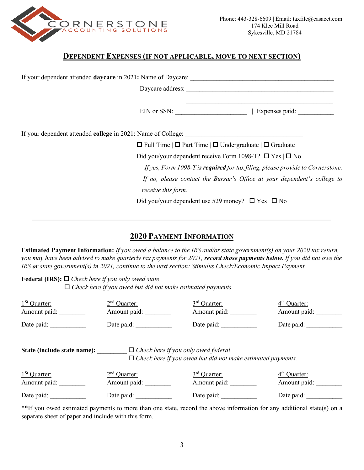

### **DEPENDENT EXPENSES (IF NOT APPLICABLE, MOVE TO NEXT SECTION)**

| If your dependent attended <b>daycare</b> in 2021: Name of Daycare: |                                                                                |                |
|---------------------------------------------------------------------|--------------------------------------------------------------------------------|----------------|
|                                                                     | Daycare address:                                                               |                |
|                                                                     | $EIN$ or SSN:                                                                  | Expenses paid: |
| If your dependent attended <b>college</b> in 2021: Name of College: |                                                                                |                |
|                                                                     | $\Box$ Full Time $\Box$ Part Time $\Box$ Undergraduate $\Box$ Graduate         |                |
|                                                                     | Did you/your dependent receive Form 1098-T? $\Box$ Yes $\Box$ No               |                |
|                                                                     | If yes, Form 1098-T is required for tax filing, please provide to Cornerstone. |                |
|                                                                     | If no, please contact the Bursar's Office at your dependent's college to       |                |
|                                                                     | receive this form.                                                             |                |
|                                                                     | Did you/your dependent use 529 money? $\Box$ Yes $\Box$ No                     |                |

# **2020 PAYMENT INFORMATION**

**Estimated Payment Information:** *If you owed a balance to the IRS and/or state government(s) on your 2020 tax return, you may have been advised to make quarterly tax payments for 2021, record those payments below. If you did not owe the IRS or state government(s) in 2021, continue to the next section: Stimulus Check/Economic Impact Payment.*

**Federal (IRS):** *Check here if you only owed state*

□ *Check here if you owed but did not make estimated payments.* 

| $1St$ Quarter: | $2nd$ Quarter: | $3rd$ Ouarter: | $4th$ Ouarter: |
|----------------|----------------|----------------|----------------|
| Amount paid:   | Amount paid:   | Amount paid:   | Amount paid:   |
| Date paid:     | Date paid:     | Date paid:     | Date paid:     |

State (include state name):  $\Box$  *Check here if you only owed federal Check here if you owed but did not make estimated payments.*

| $1St$ Quarter: | $2nd$ Quarter: | $3rd$ Quarter: | $4th$ Quarter: |
|----------------|----------------|----------------|----------------|
| Amount paid:   | Amount paid:   | Amount paid:   | Amount paid:   |
| Date paid:     | Date paid:     | Date paid:     | Date paid:     |

\*\*If you owed estimated payments to more than one state, record the above information for any additional state(s) on a separate sheet of paper and include with this form.